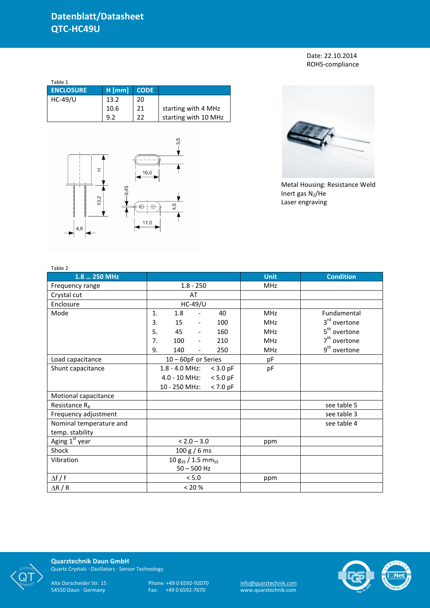Date: 22.10.2014 ROHS-compliance

| Table 1          |          |             |                      |
|------------------|----------|-------------|----------------------|
| <b>ENCLOSURE</b> | $H$ [mm] | <b>CODE</b> |                      |
| HC-49/U          | 13.2     | 20          |                      |
|                  | 10.6     | 21          | starting with 4 MHz  |
|                  | 9.2      | 22          | starting with 10 MHz |





Metal Housing: Resistance Weld Inert gas  $N_2$ /He Laser engraving

| Table 2                 |                                       |            |             |                          |
|-------------------------|---------------------------------------|------------|-------------|--------------------------|
| 1.8  250 MHz            |                                       |            | <b>Unit</b> | <b>Condition</b>         |
| Frequency range         | $1.8 - 250$                           |            | <b>MHz</b>  |                          |
| Crystal cut             | AT                                    |            |             |                          |
| Enclosure               | <b>HC-49/U</b>                        |            |             |                          |
| Mode                    | 1.8<br>1.<br>$\blacksquare$           | 40         | <b>MHz</b>  | Fundamental              |
|                         | 15<br>3.<br>$\overline{\phantom{a}}$  | 100        | <b>MHz</b>  | 3 <sup>rd</sup> overtone |
|                         | 5.<br>45<br>$\blacksquare$            | 160        | <b>MHz</b>  | 5 <sup>th</sup> overtone |
|                         | 7.<br>100<br>$\overline{\phantom{a}}$ | 210        | <b>MHz</b>  | $7th$ overtone           |
|                         | 9.<br>140<br>$\overline{\phantom{a}}$ | 250        | <b>MHz</b>  | 9 <sup>th</sup> overtone |
| Load capacitance        | 10 - 60pF or Series                   |            | pF          |                          |
| Shunt capacitance       | $1.8 - 4.0$ MHz:                      | $<$ 3.0 pF | pF          |                          |
|                         | $4.0 - 10$ MHz:                       | $< 5.0$ pF |             |                          |
|                         | 10 - 250 MHz:                         | $< 7.0$ pF |             |                          |
| Motional capacitance    |                                       |            |             |                          |
| Resistance $R_R$        |                                       |            |             | see table 5              |
| Frequency adjustment    |                                       |            |             | see table 3              |
| Nominal temperature and |                                       |            |             | see table 4              |
| temp. stability         |                                       |            |             |                          |
| Aging 1st year          | $< 2.0 - 3.0$                         |            | ppm         |                          |
| Shock                   | 100 g / 6 ms                          |            |             |                          |
| Vibration               | $10 g_{SS} / 1.5 mm_{SS}$             |            |             |                          |
|                         | $50 - 500$ Hz                         |            |             |                          |
| $\Delta f / f$          | < 5.0                                 |            | ppm         |                          |
| $\Delta$ R / R          | < 20 %                                |            |             |                          |



**Quarztechnik Daun GmbH** Quartz Crystals · Oscillators · Sensor Technology

Alte Darscheider Str. 15 Phone: +49 0 6592-92070 <u>info@quarztechnik.com</u>

54550 Daun · Germany Fax: +49 0 6592-7670 www.quarztechnik.com